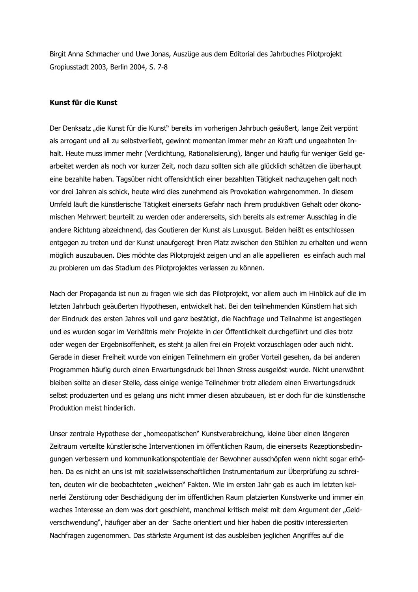Birgit Anna Schmacher und Uwe Jonas, Auszüge aus dem Editorial des Jahrbuches Pilotprojekt Gropiusstadt 2003, Berlin 2004, S. 7-8

## Kunst für die Kunst

Der Denksatz "die Kunst für die Kunst" bereits im vorherigen Jahrbuch geäußert, lange Zeit verpönt als arrogant und all zu selbstverliebt, gewinnt momentan immer mehr an Kraft und ungeahnten Inhalt. Heute muss immer mehr (Verdichtung, Rationalisierung), länger und häufig für weniger Geld gearbeitet werden als noch vor kurzer Zeit, noch dazu sollten sich alle glücklich schätzen die überhaupt eine bezahlte haben. Tagsüber nicht offensichtlich einer bezahlten Tätigkeit nachzugehen galt noch vor drei Jahren als schick, heute wird dies zunehmend als Provokation wahrgenommen. In diesem Umfeld läuft die künstlerische Tätigkeit einerseits Gefahr nach ihrem produktiven Gehalt oder ökonomischen Mehrwert beurteilt zu werden oder andererseits, sich bereits als extremer Ausschlag in die andere Richtung abzeichnend, das Goutieren der Kunst als Luxusgut. Beiden heißt es entschlossen entgegen zu treten und der Kunst unaufgeregt ihren Platz zwischen den Stühlen zu erhalten und wenn möglich auszubauen. Dies möchte das Pilotprojekt zeigen und an alle appellieren es einfach auch mal zu probieren um das Stadium des Pilotprojektes verlassen zu können.

Nach der Propaganda ist nun zu fragen wie sich das Pilotprojekt, vor allem auch im Hinblick auf die im letzten Jahrbuch geäußerten Hypothesen, entwickelt hat. Bei den teilnehmenden Künstlern hat sich der Eindruck des ersten Jahres voll und ganz bestätigt, die Nachfrage und Teilnahme ist angestiegen und es wurden sogar im Verhältnis mehr Projekte in der Öffentlichkeit durchgeführt und dies trotz oder wegen der Ergebnisoffenheit, es steht ja allen frei ein Projekt vorzuschlagen oder auch nicht. Gerade in dieser Freiheit wurde von einigen Teilnehmern ein großer Vorteil gesehen, da bei anderen Programmen häufig durch einen Erwartungsdruck bei Ihnen Stress ausgelöst wurde. Nicht unerwähnt bleiben sollte an dieser Stelle, dass einige wenige Teilnehmer trotz alledem einen Erwartungsdruck selbst produzierten und es gelang uns nicht immer diesen abzubauen, ist er doch für die künstlerische Produktion meist hinderlich.

Unser zentrale Hypothese der "homeopatischen" Kunstverabreichung, kleine über einen längeren Zeitraum verteilte künstlerische Interventionen im öffentlichen Raum, die einerseits Rezeptionsbedingungen verbessern und kommunikationspotentiale der Bewohner ausschöpfen wenn nicht sogar erhöhen. Da es nicht an uns ist mit sozialwissenschaftlichen Instrumentarium zur Überprüfung zu schreiten, deuten wir die beobachteten "weichen" Fakten. Wie im ersten Jahr gab es auch im letzten keinerlei Zerstörung oder Beschädigung der im öffentlichen Raum platzierten Kunstwerke und immer ein waches Interesse an dem was dort geschieht, manchmal kritisch meist mit dem Argument der "Geldverschwendung", häufiger aber an der Sache orientiert und hier haben die positiv interessierten Nachfragen zugenommen. Das stärkste Argument ist das ausbleiben jeglichen Angriffes auf die